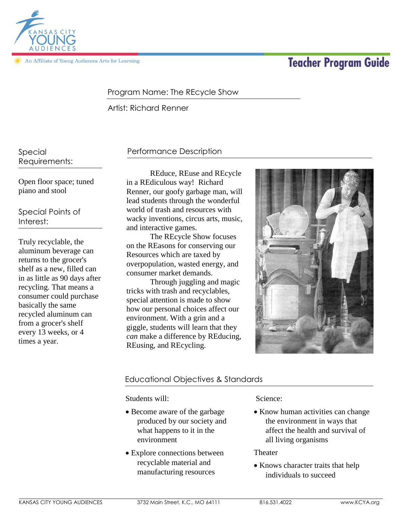

An Affiliate of Young Audiences Arts for Learning

# **Teacher Program Guide**

### Program Name: The REcycle Show

Artist: Richard Renner

Special Requirements:

Open floor space; tuned piano and stool

Special Points of Interest:

Truly recyclable, the aluminum beverage can returns to the grocer's shelf as a new, filled can in as little as 90 days after recycling. That means a consumer could purchase basically the same recycled aluminum can from a grocer's shelf every 13 weeks, or 4 times a year.

## Performance Description

REduce, REuse and REcycle in a REdiculous way! Richard Renner, our goofy garbage man, will lead students through the wonderful world of trash and resources with wacky inventions, circus arts, music, and interactive games.

The REcycle Show focuses on the REasons for conserving our Resources which are taxed by overpopulation, wasted energy, and consumer market demands.

Through juggling and magic tricks with trash and recyclables, special attention is made to show how our personal choices affect our environment. With a grin and a giggle, students will learn that they *can* make a difference by REducing, REusing, and REcycling.



## Educational Objectives & Standards

Students will:

- Become aware of the garbage produced by our society and what happens to it in the environment
- Explore connections between recyclable material and manufacturing resources

Science:

• Know human activities can change the environment in ways that affect the health and survival of all living organisms

Theater

• Knows character traits that help individuals to succeed